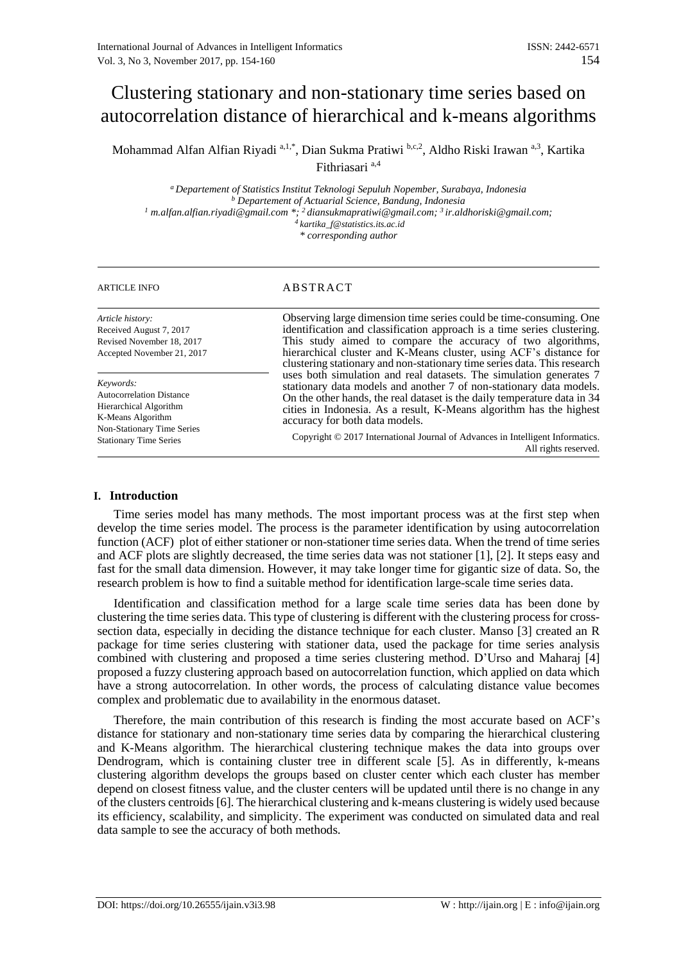# Clustering stationary and non-stationary time series based on autocorrelation distance of hierarchical and k-means algorithms

Mohammad Alfan Alfian Riyadi <sup>a, 1,\*</sup>, Dian Sukma Pratiwi <sup>b,c,2</sup>, Aldho Riski Irawan <sup>a,3</sup>, Kartika Fithriasari a,4

*<sup>a</sup> Departement of Statistics Institut Teknologi Sepuluh Nopember, Surabaya, Indonesia <sup>b</sup> Departement of Actuarial Science, Bandung, Indonesia <sup>1</sup> m.alfan.alfian.riyadi@gmail.com \*; <sup>2</sup>diansukmapratiwi@gmail.com; <sup>3</sup>ir.aldhoriski@gmail.com; 4 kartika\_f@statistics.its.ac.id \* corresponding author*

# ARTICLE INFO ABSTRACT

| Article history:<br>Received August 7, 2017<br>Revised November 18, 2017<br>Accepted November 21, 2017                    | Observing large dimension time series could be time-consuming. One<br>identification and classification approach is a time series clustering.<br>This study aimed to compare the accuracy of two algorithms,<br>hierarchical cluster and K-Means cluster, using ACF's distance for<br>clustering stationary and non-stationary time series data. This research<br>uses both simulation and real datasets. The simulation generates 7<br>stationary data models and another 7 of non-stationary data models.<br>On the other hands, the real dataset is the daily temperature data in 34<br>cities in Indonesia. As a result, K-Means algorithm has the highest<br>accuracy for both data models. |
|---------------------------------------------------------------------------------------------------------------------------|--------------------------------------------------------------------------------------------------------------------------------------------------------------------------------------------------------------------------------------------------------------------------------------------------------------------------------------------------------------------------------------------------------------------------------------------------------------------------------------------------------------------------------------------------------------------------------------------------------------------------------------------------------------------------------------------------|
| Keywords:<br><b>Autocorrelation Distance</b><br>Hierarchical Algorithm<br>K-Means Algorithm<br>Non-Stationary Time Series |                                                                                                                                                                                                                                                                                                                                                                                                                                                                                                                                                                                                                                                                                                  |
| <b>Stationary Time Series</b>                                                                                             | Copyright © 2017 International Journal of Advances in Intelligent Informatics.<br>All rights reserved.                                                                                                                                                                                                                                                                                                                                                                                                                                                                                                                                                                                           |

# **I. Introduction**

Time series model has many methods. The most important process was at the first step when develop the time series model. The process is the parameter identification by using autocorrelation function (ACF) plot of either stationer or non-stationer time series data. When the trend of time series and ACF plots are slightly decreased, the time series data was not stationer [1], [2]. It steps easy and fast for the small data dimension. However, it may take longer time for gigantic size of data. So, the research problem is how to find a suitable method for identification large-scale time series data.

Identification and classification method for a large scale time series data has been done by clustering the time series data. This type of clustering is different with the clustering process for crosssection data, especially in deciding the distance technique for each cluster. Manso [3] created an R package for time series clustering with stationer data, used the package for time series analysis combined with clustering and proposed a time series clustering method. D'Urso and Maharaj [4] proposed a fuzzy clustering approach based on autocorrelation function, which applied on data which have a strong autocorrelation. In other words, the process of calculating distance value becomes complex and problematic due to availability in the enormous dataset.

Therefore, the main contribution of this research is finding the most accurate based on ACF's distance for stationary and non-stationary time series data by comparing the hierarchical clustering and K-Means algorithm. The hierarchical clustering technique makes the data into groups over Dendrogram, which is containing cluster tree in different scale [5]. As in differently, k-means clustering algorithm develops the groups based on cluster center which each cluster has member depend on closest fitness value, and the cluster centers will be updated until there is no change in any of the clusters centroids [6]. The hierarchical clustering and k-means clustering is widely used because its efficiency, scalability, and simplicity. The experiment was conducted on simulated data and real data sample to see the accuracy of both methods.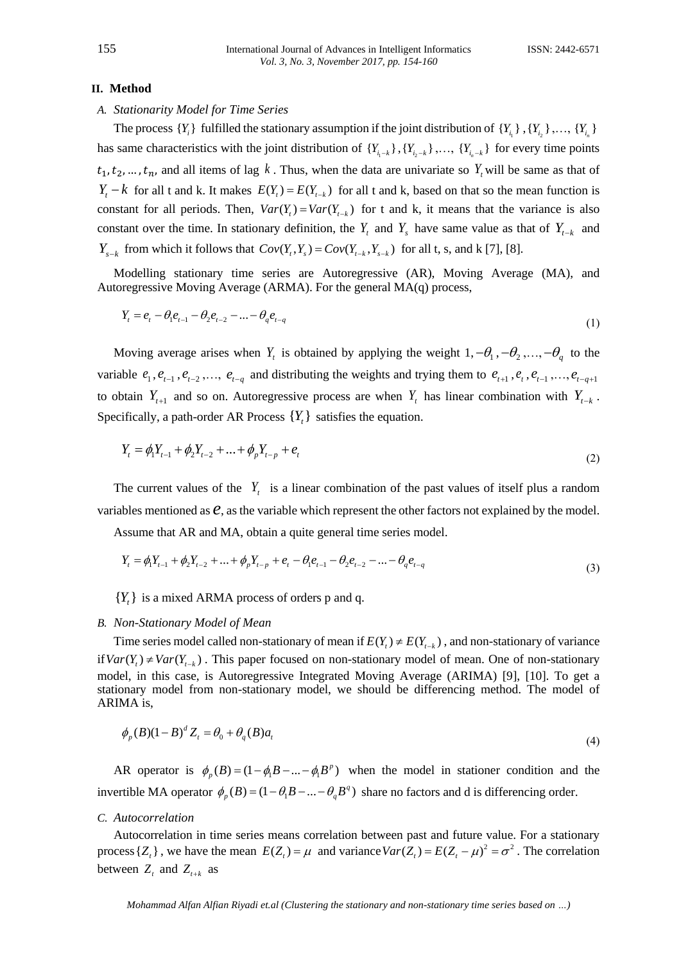#### **II. Method**

# *A. Stationarity Model for Time Series*

The process  $\{Y_i\}$  fulfilled the stationary assumption if the joint distribution of  $\{Y_{i_1}\}, \{Y_{i_2}\}, \ldots, \{Y_{i_n}\}$ has same characteristics with the joint distribution of  $\{Y_{i_1-k}\}, \{Y_{i_2-k}\}, \ldots, \{Y_{i_n-k}\}\)$  for every time points  $t_1, t_2, ..., t_n$ , and all items of lag k. Thus, when the data are univariate so  $Y_t$  will be same as that of  $Y_t - k$  for all t and k. It makes  $E(Y_t) = E(Y_{t-k})$  for all t and k, based on that so the mean function is constant for all periods. Then,  $Var(Y_t) = Var(Y_{t-k})$  for t and k, it means that the variance is also constant over the time. In stationary definition, the  $Y_t$  and  $Y_s$  have same value as that of  $Y_{t-k}$  and  $Y_{s-k}$  from which it follows that  $Cov(Y_t, Y_s) = Cov(Y_{t-k}, Y_{s-k})$  for all t, s, and k [7], [8].

Modelling stationary time series are Autoregressive (AR), Moving Average (MA), and Autoregressive Moving Average (ARMA). For the general MA(q) process,

$$
Y_{t} = e_{t} - \theta_{1} e_{t-1} - \theta_{2} e_{t-2} - \dots - \theta_{q} e_{t-q}
$$
\n(1)

Moving average arises when  $Y_t$  is obtained by applying the weight  $1, -\theta_1, -\theta_2, ..., -\theta_q$  to the variable  $e_1, e_{t-1}, e_{t-2}, \ldots, e_{t-q}$  and distributing the weights and trying them to  $e_{t+1}, e_t, e_{t-1}, \ldots, e_{t-q+1}$ to obtain  $Y_{t+1}$  and so on. Autoregressive process are when  $Y_t$  has linear combination with  $Y_{t-k}$ . Specifically, a path-order AR Process  $\{Y_t\}$  satisfies the equation.

$$
Y_{t} = \phi_{1} Y_{t-1} + \phi_{2} Y_{t-2} + \dots + \phi_{p} Y_{t-p} + e_{t}
$$
\n(2)

The current values of the  $Y_t$  is a linear combination of the past values of itself plus a random variables mentioned as  $e$ , as the variable which represent the other factors not explained by the model.

Assume that AR and MA, obtain a quite general time series model.  
\n
$$
Y_t = \phi_1 Y_{t-1} + \phi_2 Y_{t-2} + \dots + \phi_p Y_{t-p} + e_t - \theta_1 e_{t-1} - \theta_2 e_{t-2} - \dots - \theta_q e_{t-q}
$$
\n(3)

# ${Y_t}$  is a mixed ARMA process of orders p and q.

#### *B. Non-Stationary Model of Mean*

Time series model called non-stationary of mean if  $E(Y_t) \neq E(Y_{t-k})$ , and non-stationary of variance if  $Var(Y_t) \neq Var(Y_{t-k})$ . This paper focused on non-stationary model of mean. One of non-stationary model, in this case, is Autoregressive Integrated Moving Average (ARIMA) [9], [10]. To get a stationary model from non-stationary model, we should be differencing method. The model of ARIMA is,

$$
\phi_p(B)(1-B)^d Z_t = \theta_0 + \theta_q(B)a_t
$$
\n<sup>(4)</sup>

AR operator is  $\phi_p(B) = (1 - \phi_1 B - ... - \phi_1 B^p)$  when the model in stationer condition and the invertible MA operator  $\phi_p(B) = (1 - \theta_1 B - ... - \theta_q B^q)$  share no factors and d is differencing order.

# *C. Autocorrelation*

Autocorrelation in time series means correlation between past and future value. For a stationary process  $\{Z_t\}$ , we have the mean  $E(Z_t) = \mu$  and variance  $Var(Z_t) = E(Z_t - \mu)^2 = \sigma^2$ . The correlation between  $Z_t$  and  $Z_{t+k}$  as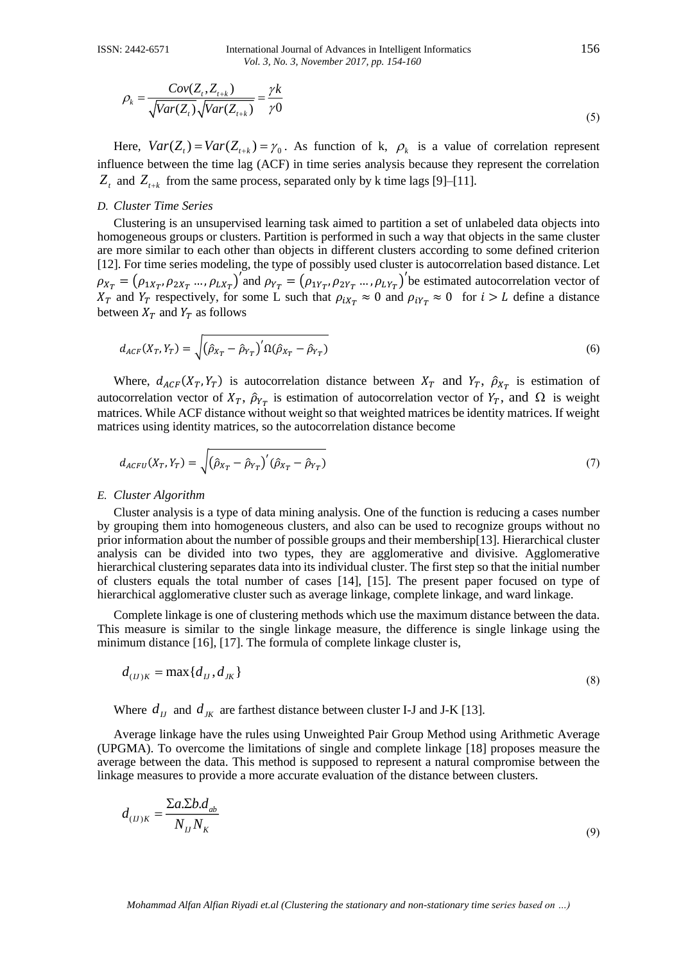$$
\rho_k = \frac{Cov(Z_t, Z_{t+k})}{\sqrt{Var(Z_t)}\sqrt{Var(Z_{t+k})}} = \frac{\gamma k}{\gamma 0}
$$
\n(5)

Here,  $Var(Z_t) = Var(Z_{t+k}) = \gamma_0$ . As function of k,  $\rho_k$  is a value of correlation represent influence between the time lag (ACF) in time series analysis because they represent the correlation  $Z_t$  and  $Z_{t+k}$  from the same process, separated only by k time lags [9]–[11].

# *D. Cluster Time Series*

 $\sqrt{Var(Z, Z_1)}$ <br>  $\sqrt{Var(Z_2)}\sqrt{Var(Z_{1,2})} = \gamma h$ <br>  $\sqrt{Var(Z_1)} = Var(Z_1) = Y_0$ . As function of k.  $\rho_1$  is a value of correlation renew<br>
time  $\sqrt{Var(Z_1)} = Var(Z_1) = Y_0$ . As function to give the stationary is precised to the stationary from the Clustering is an unsupervised learning task aimed to partition a set of unlabeled data objects into homogeneous groups or clusters. Partition is performed in such a way that objects in the same cluster are more similar to each other than objects in different clusters according to some defined criterion [12]. For time series modeling, the type of possibly used cluster is autocorrelation based distance. Let  $\rho_{X_T} = (\rho_{1X_T}, \rho_{2X_T} \dots, \rho_{LX_T})'$  and  $\rho_{Y_T} = (\rho_{1Y_T}, \rho_{2Y_T} \dots, \rho_{LY_T})'$  be estimated autocorrelation vector of  $X_T$  and  $Y_T$  respectively, for some L such that  $\rho_{iX_T} \approx 0$  and  $\rho_{iY_T} \approx 0$  for  $i > L$  define a distance between  $X_T$  and  $Y_T$  as follows

$$
d_{ACF}(X_T, Y_T) = \sqrt{\left(\hat{\rho}_{X_T} - \hat{\rho}_{Y_T}\right)' \Omega(\hat{\rho}_{X_T} - \hat{\rho}_{Y_T})}
$$
\n(6)

Where,  $d_{ACF}(X_T, Y_T)$  is autocorrelation distance between  $X_T$  and  $Y_T$ ,  $\hat{\rho}_{X_T}$  is estimation of autocorrelation vector of  $X_T$ ,  $\hat{\rho}_{Y_T}$  is estimation of autocorrelation vector of  $Y_T$ , and  $\Omega$  is weight matrices. While ACF distance without weight so that weighted matrices be identity matrices. If weight matrices using identity matrices, so the autocorrelation distance become

$$
d_{ACFU}(X_T, Y_T) = \sqrt{\left(\hat{\rho}_{X_T} - \hat{\rho}_{Y_T}\right)'(\hat{\rho}_{X_T} - \hat{\rho}_{Y_T})}
$$
\n(7)

#### *E. Cluster Algorithm*

Cluster analysis is a type of data mining analysis. One of the function is reducing a cases number by grouping them into homogeneous clusters, and also can be used to recognize groups without no prior information about the number of possible groups and their membership[13]. Hierarchical cluster analysis can be divided into two types, they are agglomerative and divisive. Agglomerative hierarchical clustering separates data into its individual cluster. The first step so that the initial number of clusters equals the total number of cases [14], [15]. The present paper focused on type of hierarchical agglomerative cluster such as average linkage, complete linkage, and ward linkage.

Complete linkage is one of clustering methods which use the maximum distance between the data. This measure is similar to the single linkage measure, the difference is single linkage using the minimum distance [16], [17]. The formula of complete linkage cluster is,

$$
d_{(IJ)K} = \max\{d_{IJ}, d_{JK}\}\tag{8}
$$

Where  $d_{IJ}$  and  $d_{JK}$  are farthest distance between cluster I-J and J-K [13].

Average linkage have the rules using Unweighted Pair Group Method using Arithmetic Average (UPGMA). To overcome the limitations of single and complete linkage [18] proposes measure the average between the data. This method is supposed to represent a natural compromise between the linkage measures to provide a more accurate evaluation of the distance between clusters.

$$
d_{(IJ)K} = \frac{\sum a \sum b \cdot d_{ab}}{N_{IJ} N_K} \tag{9}
$$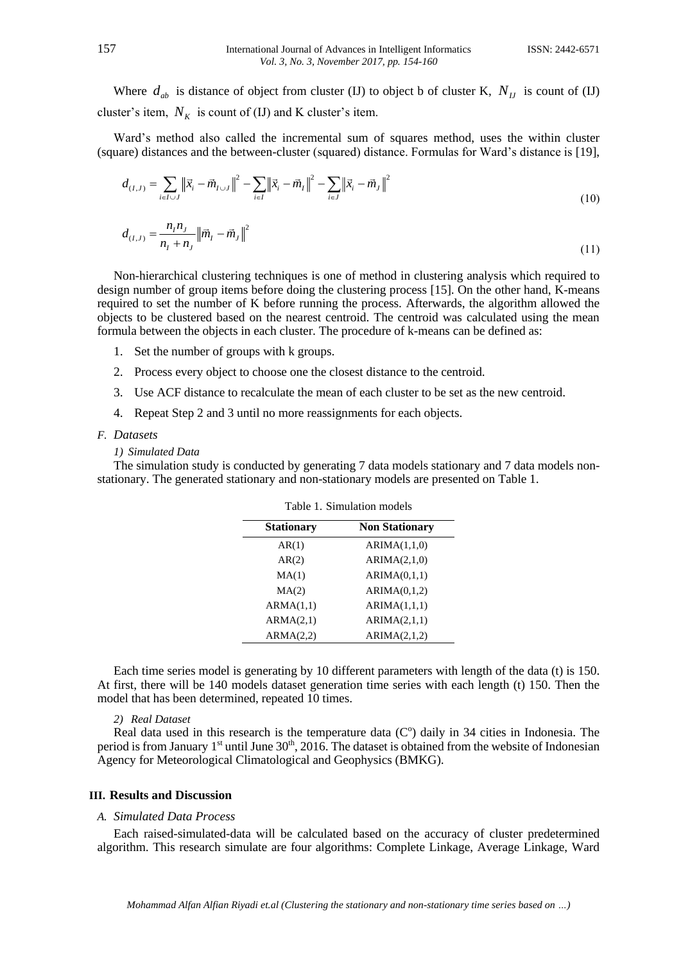Where  $d_{ab}$  is distance of object from cluster (IJ) to object b of cluster K,  $N_{IJ}$  is count of (IJ) cluster's item,  $N_K$  is count of (IJ) and K cluster's item.

Ward's method also called the incremental sum of squares method, uses the within cluster

(square) distances and the between-cluster (squared) distance. Formulas for Ward's distance is [19],  

$$
d_{(I,J)} = \sum_{i \in I \cup J} \left\| \vec{x}_i - \vec{m}_{I \cup J} \right\|^2 - \sum_{i \in J} \left\| \vec{x}_i - \vec{m}_I \right\|^2 - \sum_{i \in J} \left\| \vec{x}_i - \vec{m}_J \right\|^2
$$
(10)

$$
d_{(I,J)} = \frac{n_I n_J}{n_I + n_J} ||\vec{m}_I - \vec{m}_J||^2
$$
\n(11)

Non-hierarchical clustering techniques is one of method in clustering analysis which required to design number of group items before doing the clustering process [15]. On the other hand, K-means required to set the number of K before running the process. Afterwards, the algorithm allowed the objects to be clustered based on the nearest centroid. The centroid was calculated using the mean formula between the objects in each cluster. The procedure of k-means can be defined as:

- 1. Set the number of groups with k groups.
- 2. Process every object to choose one the closest distance to the centroid.
- 3. Use ACF distance to recalculate the mean of each cluster to be set as the new centroid.
- 4. Repeat Step 2 and 3 until no more reassignments for each objects.

#### *F. Datasets*

#### *1) Simulated Data*

The simulation study is conducted by generating 7 data models stationary and 7 data models nonstationary. The generated stationary and non-stationary models are presented on Table 1.

| <b>Stationary</b> | <b>Non Stationary</b> |
|-------------------|-----------------------|
| AR(1)             | ARIMA(1,1,0)          |
| AR(2)             | ARIMA(2,1,0)          |
| MA(1)             | ARIMA(0,1,1)          |
| MA(2)             | ARIMA(0,1,2)          |
| ARMA(1,1)         | ARIMA(1,1,1)          |
| ARMA(2,1)         | ARIMA(2,1,1)          |
| ARMA(2,2)         | ARIMA(2,1,2)          |

Table 1. Simulation models

Each time series model is generating by 10 different parameters with length of the data (t) is 150. At first, there will be 140 models dataset generation time series with each length (t) 150. Then the model that has been determined, repeated 10 times.

*2) Real Dataset*

Real data used in this research is the temperature data  $(C<sup>o</sup>)$  daily in 34 cities in Indonesia. The period is from January  $1<sup>st</sup>$  until June  $30<sup>th</sup>$ , 2016. The dataset is obtained from the website of Indonesian Agency for Meteorological Climatological and Geophysics (BMKG).

#### **III. Results and Discussion**

### *A. Simulated Data Process*

Each raised-simulated-data will be calculated based on the accuracy of cluster predetermined algorithm. This research simulate are four algorithms: Complete Linkage, Average Linkage, Ward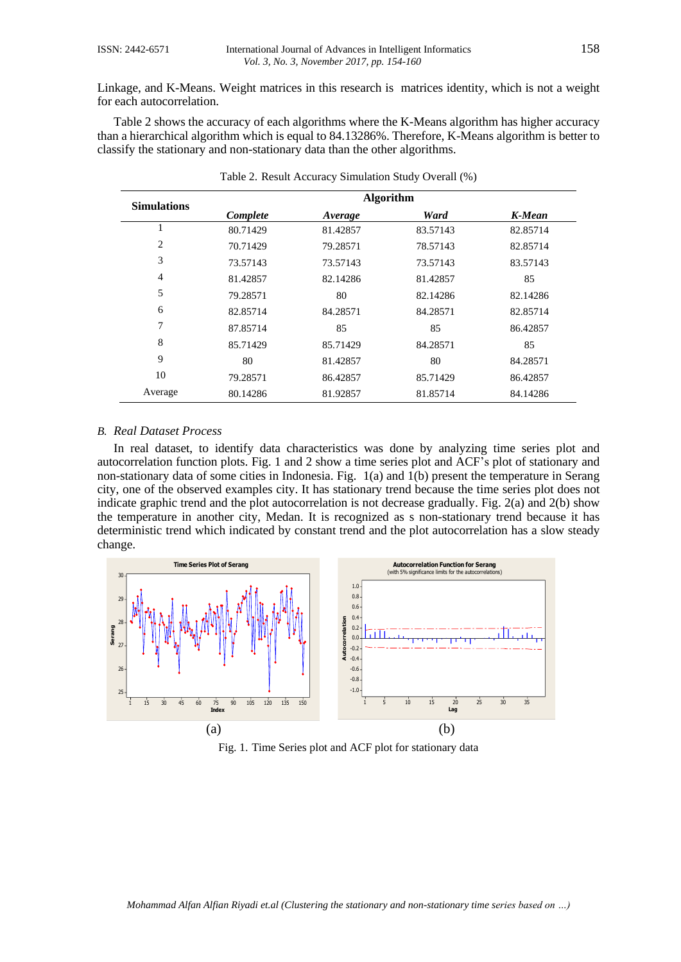Linkage, and K-Means. Weight matrices in this research is matrices identity, which is not a weight for each autocorrelation.

Table 2 shows the accuracy of each algorithms where the K-Means algorithm has higher accuracy than a hierarchical algorithm which is equal to 84.13286%. Therefore, K-Means algorithm is better to classify the stationary and non-stationary data than the other algorithms.

| <b>Simulations</b> | <b>Algorithm</b> |          |          |          |
|--------------------|------------------|----------|----------|----------|
|                    | Complete         | Average  | Ward     | K-Mean   |
|                    | 80.71429         | 81.42857 | 83.57143 | 82.85714 |
| 2                  | 70.71429         | 79.28571 | 78.57143 | 82.85714 |
| 3                  | 73.57143         | 73.57143 | 73.57143 | 83.57143 |
| $\overline{4}$     | 81.42857         | 82.14286 | 81.42857 | 85       |
| 5                  | 79.28571         | 80       | 82.14286 | 82.14286 |
| 6                  | 82.85714         | 84.28571 | 84.28571 | 82.85714 |
| 7                  | 87.85714         | 85       | 85       | 86.42857 |
| 8                  | 85.71429         | 85.71429 | 84.28571 | 85       |
| 9                  | 80               | 81.42857 | 80       | 84.28571 |
| 10                 | 79.28571         | 86.42857 | 85.71429 | 86.42857 |
| Average            | 80.14286         | 81.92857 | 81.85714 | 84.14286 |

Table 2. Result Accuracy Simulation Study Overall (%)

#### *B. Real Dataset Process*

In real dataset, to identify data characteristics was done by analyzing time series plot and autocorrelation function plots. Fig. 1 and 2 show a time series plot and ACF's plot of stationary and non-stationary data of some cities in Indonesia. Fig. 1(a) and 1(b) present the temperature in Serang city, one of the observed examples city. It has stationary trend because the time series plot does not indicate graphic trend and the plot autocorrelation is not decrease gradually. Fig. 2(a) and 2(b) show the temperature in another city, Medan. It is recognized as s non-stationary trend because it has deterministic trend which indicated by constant trend and the plot autocorrelation has a slow steady change.



Fig. 1. Time Series plot and ACF plot for stationary data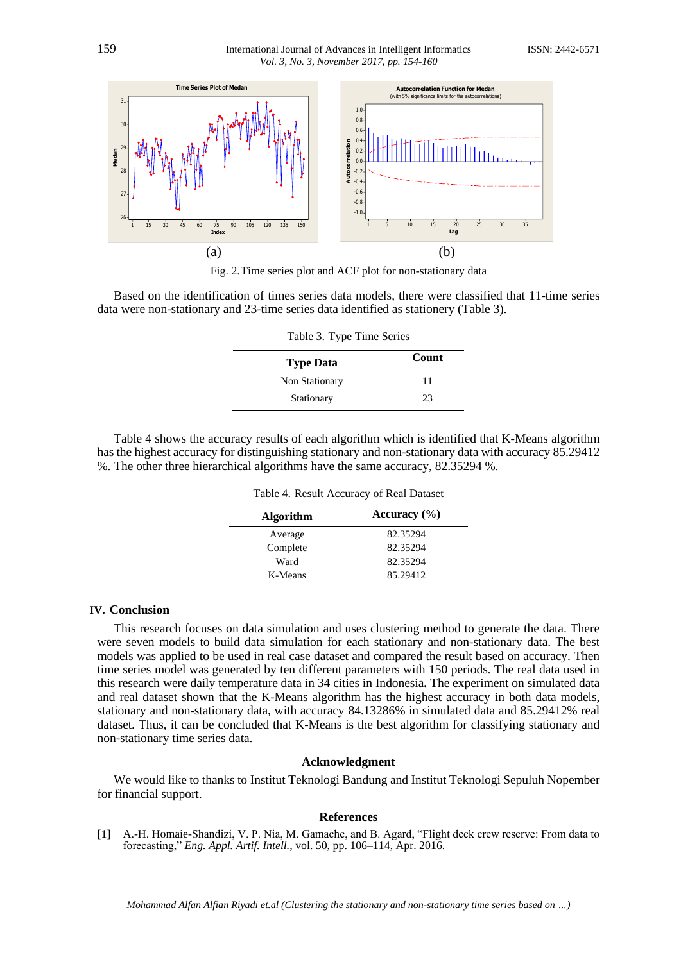

Fig. 2.Time series plot and ACF plot for non-stationary data

Based on the identification of times series data models, there were classified that 11-time series data were non-stationary and 23-time series data identified as stationery (Table 3).

| Table 3. Type Time Series |       |  |
|---------------------------|-------|--|
| <b>Type Data</b>          | Count |  |
| Non Stationary            | 11    |  |
| Stationary                | 23    |  |

Table 4 shows the accuracy results of each algorithm which is identified that K-Means algorithm has the highest accuracy for distinguishing stationary and non-stationary data with accuracy 85.29412 %. The other three hierarchical algorithms have the same accuracy, 82.35294 %.

| <b>Algorithm</b> | Accuracy $(\% )$ |
|------------------|------------------|
| Average          | 82.35294         |
| Complete         | 82.35294         |
| Ward             | 82.35294         |
| K-Means          | 85.29412         |

Table 4. Result Accuracy of Real Dataset

# **IV. Conclusion**

This research focuses on data simulation and uses clustering method to generate the data. There were seven models to build data simulation for each stationary and non-stationary data. The best models was applied to be used in real case dataset and compared the result based on accuracy. Then time series model was generated by ten different parameters with 150 periods. The real data used in this research were daily temperature data in 34 cities in Indonesia**.** The experiment on simulated data and real dataset shown that the K-Means algorithm has the highest accuracy in both data models, stationary and non-stationary data, with accuracy 84.13286% in simulated data and 85.29412% real dataset. Thus, it can be concluded that K-Means is the best algorithm for classifying stationary and non-stationary time series data.

# **Acknowledgment**

We would like to thanks to Institut Teknologi Bandung and Institut Teknologi Sepuluh Nopember for financial support.

#### **References**

[1] A.-H. Homaie-Shandizi, V. P. Nia, M. Gamache, and B. Agard, "Flight deck crew reserve: From data to forecasting," *Eng. Appl. Artif. Intell.*, vol. 50, pp. 106–114, Apr. 2016.